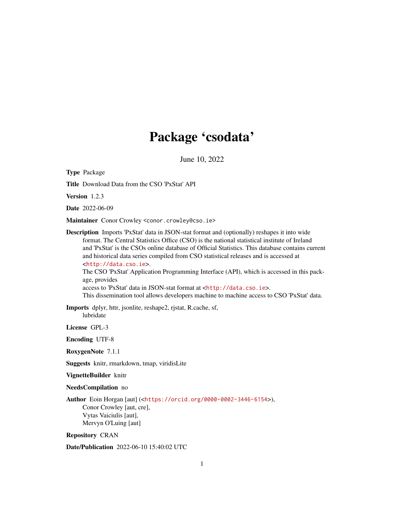# Package 'csodata'

June 10, 2022

Type Package

Title Download Data from the CSO 'PxStat' API

Version 1.2.3

Date 2022-06-09

Maintainer Conor Crowley <conor.crowley@cso.ie>

Description Imports 'PxStat' data in JSON-stat format and (optionally) reshapes it into wide format. The Central Statistics Office (CSO) is the national statistical institute of Ireland and 'PxStat' is the CSOs online database of Official Statistics. This database contains current and historical data series compiled from CSO statistical releases and is accessed at <<http://data.cso.ie>>. The CSO 'PxStat' Application Programming Interface (API), which is accessed in this package, provides

access to 'PxStat' data in JSON-stat format at <<http://data.cso.ie>>.

This dissemination tool allows developers machine to machine access to CSO 'PxStat' data.

Imports dplyr, httr, jsonlite, reshape2, rjstat, R.cache, sf, lubridate

License GPL-3

Encoding UTF-8

RoxygenNote 7.1.1

Suggests knitr, rmarkdown, tmap, viridisLite

VignetteBuilder knitr

NeedsCompilation no

Author Eoin Horgan [aut] (<<https://orcid.org/0000-0002-3446-6154>>), Conor Crowley [aut, cre], Vytas Vaiciulis [aut], Mervyn O'Luing [aut]

Repository CRAN

Date/Publication 2022-06-10 15:40:02 UTC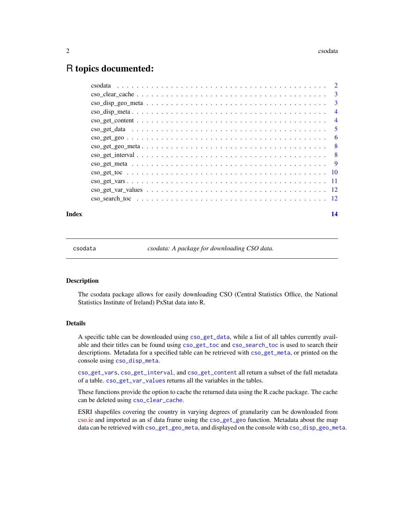#### <span id="page-1-0"></span> $2 \cos \theta$

# R topics documented:

| $\cos \frac{1}{2} \sin \frac{1}{2} \cos \frac{1}{2} \sin \frac{1}{2} \sin \frac{1}{2} \sin \frac{1}{2} \sin \frac{1}{2} \sin \frac{1}{2} \sin \frac{1}{2} \sin \frac{1}{2} \sin \frac{1}{2} \sin \frac{1}{2} \sin \frac{1}{2} \sin \frac{1}{2} \sin \frac{1}{2} \sin \frac{1}{2} \sin \frac{1}{2} \sin \frac{1}{2} \sin \frac{1}{2} \sin \frac{1}{2} \sin \frac{1}{2} \sin \frac{1}{2} \sin \frac{1}{2} \sin \frac{1}{2} \sin \frac$ | $\overline{\mathbf{3}}$ |
|--------------------------------------------------------------------------------------------------------------------------------------------------------------------------------------------------------------------------------------------------------------------------------------------------------------------------------------------------------------------------------------------------------------------------------------|-------------------------|
|                                                                                                                                                                                                                                                                                                                                                                                                                                      | $\overline{4}$          |
|                                                                                                                                                                                                                                                                                                                                                                                                                                      | $\overline{4}$          |
|                                                                                                                                                                                                                                                                                                                                                                                                                                      |                         |
|                                                                                                                                                                                                                                                                                                                                                                                                                                      |                         |
|                                                                                                                                                                                                                                                                                                                                                                                                                                      |                         |
|                                                                                                                                                                                                                                                                                                                                                                                                                                      |                         |
|                                                                                                                                                                                                                                                                                                                                                                                                                                      |                         |
|                                                                                                                                                                                                                                                                                                                                                                                                                                      |                         |
|                                                                                                                                                                                                                                                                                                                                                                                                                                      |                         |
|                                                                                                                                                                                                                                                                                                                                                                                                                                      |                         |
|                                                                                                                                                                                                                                                                                                                                                                                                                                      |                         |
|                                                                                                                                                                                                                                                                                                                                                                                                                                      |                         |

#### **Index** and the contract of the contract of the contract of the contract of the contract of the contract of the contract of the contract of the contract of the contract of the contract of the contract of the contract of th

csodata *csodata: A package for downloading CSO data.*

#### **Description**

The csodata package allows for easily downloading CSO (Central Statistics Office, the National Statistics Institute of Ireland) PxStat data into R.

# Details

A specific table can be downloaded using [cso\\_get\\_data](#page-4-1), while a list of all tables currently available and their titles can be found using [cso\\_get\\_toc](#page-9-1) and [cso\\_search\\_toc](#page-11-1) is used to search their descriptions. Metadata for a specified table can be retrieved with [cso\\_get\\_meta](#page-8-1), or printed on the console using [cso\\_disp\\_meta](#page-3-1).

[cso\\_get\\_vars](#page-10-1), [cso\\_get\\_interval](#page-7-1), and [cso\\_get\\_content](#page-3-2) all return a subset of the full metadata of a table. [cso\\_get\\_var\\_values](#page-11-2) returns all the variables in the tables.

These functions provide the option to cache the returned data using the R.cache package. The cache can be deleted using [cso\\_clear\\_cache](#page-2-1).

ESRI shapefiles covering the country in varying degrees of granularity can be downloaded from [cso.ie](https://www.cso.ie/en/census/census2011boundaryfiles/) and imported as an sf data frame using the [cso\\_get\\_geo](#page-5-1) function. Metadata about the map data can be retrieved with [cso\\_get\\_geo\\_meta](#page-7-2), and displayed on the console with [cso\\_disp\\_geo\\_meta](#page-2-2).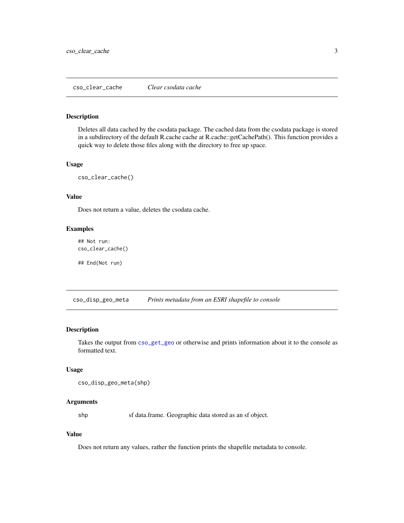# <span id="page-2-1"></span><span id="page-2-0"></span>Description

Deletes all data cached by the csodata package. The cached data from the csodata package is stored in a subdirectory of the default R.cache cache at R.cache::getCachePath(). This function provides a quick way to delete those files along with the directory to free up space.

# Usage

cso\_clear\_cache()

#### Value

Does not return a value, deletes the csodata cache.

#### Examples

## Not run: cso\_clear\_cache()

## End(Not run)

<span id="page-2-2"></span>cso\_disp\_geo\_meta *Prints metadata from an ESRI shapefile to console*

#### Description

Takes the output from [cso\\_get\\_geo](#page-5-1) or otherwise and prints information about it to the console as formatted text.

# Usage

```
cso_disp_geo_meta(shp)
```
#### Arguments

shp sf data.frame. Geographic data stored as an sf object.

#### Value

Does not return any values, rather the function prints the shapefile metadata to console.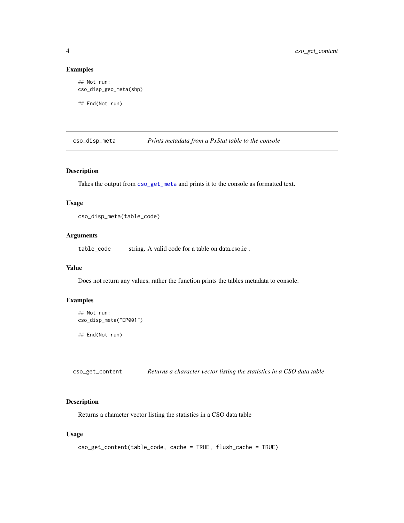# Examples

```
## Not run:
cso_disp_geo_meta(shp)
```
## End(Not run)

<span id="page-3-1"></span>cso\_disp\_meta *Prints metadata from a PxStat table to the console*

# Description

Takes the output from [cso\\_get\\_meta](#page-8-1) and prints it to the console as formatted text.

# Usage

```
cso_disp_meta(table_code)
```
# Arguments

table\_code string. A valid code for a table on data.cso.ie .

# Value

Does not return any values, rather the function prints the tables metadata to console.

# Examples

```
## Not run:
cso_disp_meta("EP001")
```
## End(Not run)

<span id="page-3-2"></span>cso\_get\_content *Returns a character vector listing the statistics in a CSO data table*

# Description

Returns a character vector listing the statistics in a CSO data table

```
cso_get_content(table_code, cache = TRUE, flush_cache = TRUE)
```
<span id="page-3-0"></span>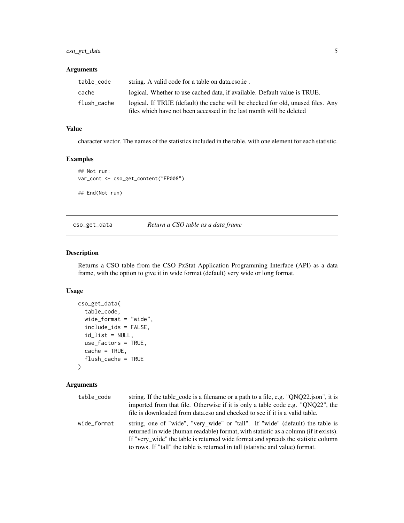#### <span id="page-4-0"></span>Arguments

| table code  | string. A valid code for a table on data.cso.ie.                                                                                                        |
|-------------|---------------------------------------------------------------------------------------------------------------------------------------------------------|
| cache       | logical. Whether to use cached data, if available. Default value is TRUE.                                                                               |
| flush_cache | logical. If TRUE (default) the cache will be checked for old, unused files. Any<br>files which have not been accessed in the last month will be deleted |

#### Value

character vector. The names of the statistics included in the table, with one element for each statistic.

# Examples

```
## Not run:
var_cont <- cso_get_content("EP008")
```
## End(Not run)

<span id="page-4-1"></span>cso\_get\_data *Return a CSO table as a data frame*

#### Description

Returns a CSO table from the CSO PxStat Application Programming Interface (API) as a data frame, with the option to give it in wide format (default) very wide or long format.

# Usage

```
cso_get_data(
  table_code,
  wide_format = "wide",
  include_ids = FALSE,
  id_list = NULL,
  use_factors = TRUE,
  cache = TRUE,
  flush_cache = TRUE
)
```
# Arguments

| table code  | string. If the table_code is a filename or a path to a file, e.g. "QNQ22.json", it is<br>imported from that file. Otherwise if it is only a table code e.g. "ONQ22", the<br>file is downloaded from data.cso and checked to see if it is a valid table.                                                                                       |
|-------------|-----------------------------------------------------------------------------------------------------------------------------------------------------------------------------------------------------------------------------------------------------------------------------------------------------------------------------------------------|
| wide format | string, one of "wide", "very wide" or "tall". If "wide" (default) the table is<br>returned in wide (human readable) format, with statistic as a column (if it exists).<br>If "very_wide" the table is returned wide format and spreads the statistic column<br>to rows. If "tall" the table is returned in tall (statistic and value) format. |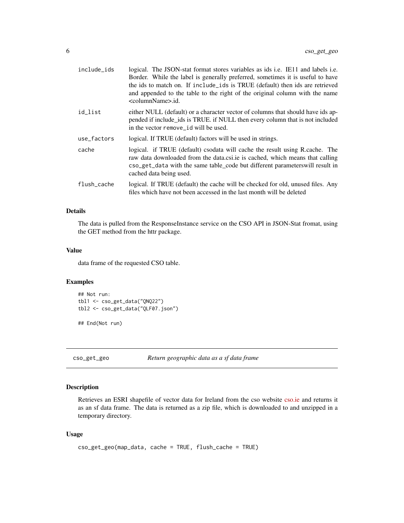<span id="page-5-0"></span>

| include_ids | logical. The JSON-stat format stores variables as ids i.e. IE11 and labels i.e.<br>Border. While the label is generally preferred, sometimes it is useful to have<br>the ids to match on. If include_ids is TRUE (default) then ids are retrieved<br>and appended to the table to the right of the original column with the name<br><columnname>.id.</columnname> |
|-------------|-------------------------------------------------------------------------------------------------------------------------------------------------------------------------------------------------------------------------------------------------------------------------------------------------------------------------------------------------------------------|
| id_list     | either NULL (default) or a character vector of columns that should have ids ap-<br>pended if include_ids is TRUE. if NULL then every column that is not included<br>in the vector remove id will be used.                                                                                                                                                         |
| use_factors | logical. If TRUE (default) factors will be used in strings.                                                                                                                                                                                                                                                                                                       |
| cache       | logical. if TRUE (default) csodata will cache the result using R.cache. The<br>raw data downloaded from the data.csi.ie is cached, which means that calling<br>cso_get_data with the same table_code but different parameterswill result in<br>cached data being used.                                                                                            |
| flush cache | logical. If TRUE (default) the cache will be checked for old, unused files. Any<br>files which have not been accessed in the last month will be deleted                                                                                                                                                                                                           |

# Details

The data is pulled from the ResponseInstance service on the CSO API in JSON-Stat fromat, using the GET method from the httr package.

# Value

data frame of the requested CSO table.

# Examples

```
## Not run:
tbl1 <- cso_get_data("QNQ22")
tbl2 <- cso_get_data("QLF07.json")
```
## End(Not run)

<span id="page-5-1"></span>cso\_get\_geo *Return geographic data as a sf data frame*

# Description

Retrieves an ESRI shapefile of vector data for Ireland from the cso website [cso.ie](https://www.cso.ie/en/census/census2011boundaryfiles/) and returns it as an sf data frame. The data is returned as a zip file, which is downloaded to and unzipped in a temporary directory.

```
cso_get_geo(map_data, cache = TRUE, flush_cache = TRUE)
```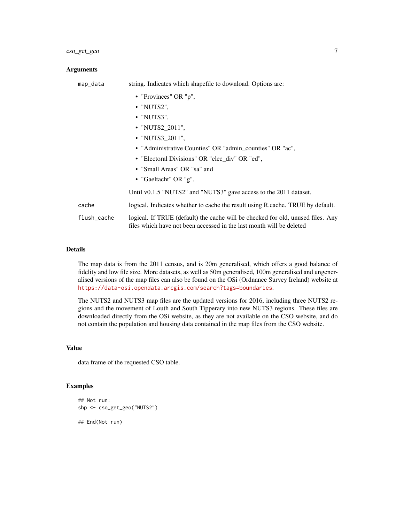#### **Arguments**

| map_data    | string. Indicates which shapefile to download. Options are:                                                                                             |
|-------------|---------------------------------------------------------------------------------------------------------------------------------------------------------|
|             | • "Provinces" OR "p",                                                                                                                                   |
|             | $\bullet$ "NUTS2",                                                                                                                                      |
|             | $\cdot$ "NUTS3",                                                                                                                                        |
|             | • "NUTS2_2011",                                                                                                                                         |
|             | • "NUTS3_2011",                                                                                                                                         |
|             | • "Administrative Counties" OR "admin_counties" OR "ac",                                                                                                |
|             | • "Electoral Divisions" OR "elec_div" OR "ed",                                                                                                          |
|             | • "Small Areas" OR "sa" and                                                                                                                             |
|             | • "Gaeltacht" OR "g".                                                                                                                                   |
|             | Until v0.1.5 "NUTS2" and "NUTS3" gave access to the 2011 dataset.                                                                                       |
| cache       | logical. Indicates whether to cache the result using R cache. TRUE by default.                                                                          |
| flush_cache | logical. If TRUE (default) the cache will be checked for old, unused files. Any<br>files which have not been accessed in the last month will be deleted |

#### Details

The map data is from the 2011 census, and is 20m generalised, which offers a good balance of fidelity and low file size. More datasets, as well as 50m generalised, 100m generalised and ungeneralised versions of the map files can also be found on the OSi (Ordnance Survey Ireland) website at <https://data-osi.opendata.arcgis.com/search?tags=boundaries>.

The NUTS2 and NUTS3 map files are the updated versions for 2016, including three NUTS2 regions and the movement of Louth and South Tipperary into new NUTS3 regions. These files are downloaded directly from the OSi website, as they are not available on the CSO website, and do not contain the population and housing data contained in the map files from the CSO website.

#### Value

data frame of the requested CSO table.

# Examples

```
## Not run:
shp <- cso_get_geo("NUTS2")
## End(Not run)
```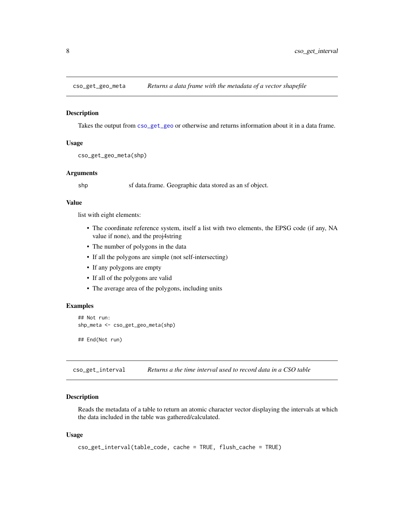<span id="page-7-2"></span><span id="page-7-0"></span>

#### Description

Takes the output from [cso\\_get\\_geo](#page-5-1) or otherwise and returns information about it in a data frame.

#### Usage

```
cso_get_geo_meta(shp)
```
#### Arguments

shp sf data.frame. Geographic data stored as an sf object.

#### Value

list with eight elements:

- The coordinate reference system, itself a list with two elements, the EPSG code (if any, NA value if none), and the proj4string
- The number of polygons in the data
- If all the polygons are simple (not self-intersecting)
- If any polygons are empty
- If all of the polygons are valid
- The average area of the polygons, including units

# Examples

```
## Not run:
shp_meta <- cso_get_geo_meta(shp)
```
## End(Not run)

<span id="page-7-1"></span>cso\_get\_interval *Returns a the time interval used to record data in a CSO table*

#### Description

Reads the metadata of a table to return an atomic character vector displaying the intervals at which the data included in the table was gathered/calculated.

```
cso_get_interval(table_code, cache = TRUE, flush_cache = TRUE)
```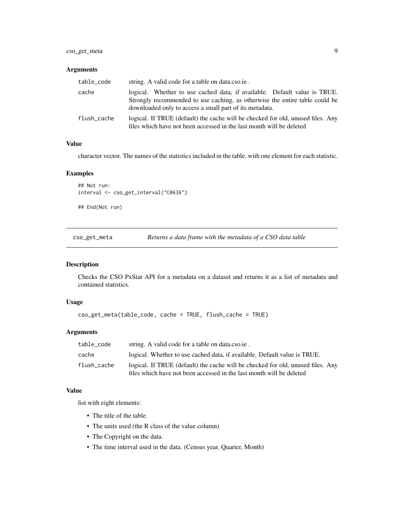# <span id="page-8-0"></span>cso\_get\_meta 9

# Arguments

| table_code  | string. A valid code for a table on data.cso.ie.                                                                                                                                                                    |  |
|-------------|---------------------------------------------------------------------------------------------------------------------------------------------------------------------------------------------------------------------|--|
| cache       | logical. Whether to use cached data, if available. Default value is TRUE.<br>Strongly recommended to use caching, as otherwise the entire table could be<br>downloaded only to access a small part of its metadata. |  |
| flush cache | logical. If TRUE (default) the cache will be checked for old, unused files. Any<br>files which have not been accessed in the last month will be deleted                                                             |  |

# Value

character vector. The names of the statistics included in the table, with one element for each statistic.

# Examples

```
## Not run:
interval <- cso_get_interval("C0636")
```
## End(Not run)

<span id="page-8-1"></span>cso\_get\_meta *Returns a data frame with the metadata of a CSO data table*

# Description

Checks the CSO PxStat API for a metadata on a dataset and returns it as a list of metadata and contained statistics.

# Usage

```
cso_get_meta(table_code, cache = TRUE, flush_cache = TRUE)
```
# Arguments

| table_code  | string. A valid code for a table on data.cso.ie.                                                                                                        |
|-------------|---------------------------------------------------------------------------------------------------------------------------------------------------------|
| cache       | logical. Whether to use cached data, if available. Default value is TRUE.                                                                               |
| flush cache | logical. If TRUE (default) the cache will be checked for old, unused files. Any<br>files which have not been accessed in the last month will be deleted |

#### Value

list with eight elements:

- The title of the table.
- The units used (the R class of the value column)
- The Copyright on the data.
- The time interval used in the data. (Census year, Quarter, Month)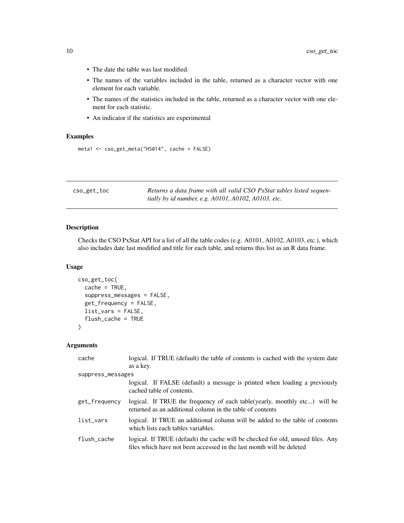- <span id="page-9-0"></span>• The date the table was last modified.
- The names of the variables included in the table, returned as a character vector with one element for each variable.
- The names of the statistics included in the table, returned as a character vector with one element for each statistic.
- An indicator if the statistics are experimental

# Examples

```
meta1 <- cso_get_meta("HS014", cache = FALSE)
```
<span id="page-9-1"></span>

| cso_get_toc | Returns a data frame with all valid CSO PxStat tables listed sequen- |
|-------------|----------------------------------------------------------------------|
|             | tially by id number, e.g. A0101, A0102, A0103, etc.                  |

# Description

Checks the CSO PxStat API for a list of all the table codes (e.g. A0101, A0102, A0103, etc.), which also includes date last modified and title for each table, and returns this list as an R data frame.

#### Usage

```
cso_get_toc(
  cache = TRUE,
  suppress_messages = FALSE,
  get_frequency = FALSE,
  list_vars = FALSE,
  flush_cache = TRUE
)
```
#### Arguments

| cache             | logical. If TRUE (default) the table of contents is cached with the system date                                                                         |
|-------------------|---------------------------------------------------------------------------------------------------------------------------------------------------------|
|                   | as a key.                                                                                                                                               |
| suppress_messages |                                                                                                                                                         |
|                   | logical. If FALSE (default) a message is printed when loading a previously<br>cached table of contents.                                                 |
| get_frequency     | logical. If TRUE the frequency of each table (yearly, monthly etc) will be<br>returned as an additional column in the table of contents                 |
| list_vars         | logical. If TRUE an additional column will be added to the table of contents<br>which lists each tables variables.                                      |
| flush_cache       | logical. If TRUE (default) the cache will be checked for old, unused files. Any<br>files which have not been accessed in the last month will be deleted |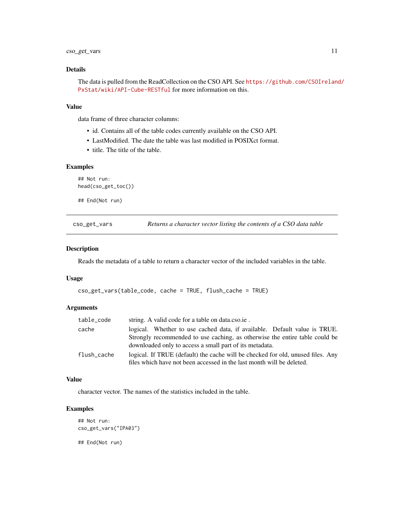#### <span id="page-10-0"></span>Details

The data is pulled from the ReadCollection on the CSO API. See [https://github.com/CSOIreland](https://github.com/CSOIreland/PxStat/wiki/API-Cube-RESTful)/ [PxStat/wiki/API-Cube-RESTful](https://github.com/CSOIreland/PxStat/wiki/API-Cube-RESTful) for more information on this.

#### Value

data frame of three character columns:

- id. Contains all of the table codes currently available on the CSO API.
- LastModified. The date the table was last modified in POSIXct format.
- title. The title of the table.

# Examples

```
## Not run:
head(cso_get_toc())
## End(Not run)
```
<span id="page-10-1"></span>cso\_get\_vars *Returns a character vector listing the contents of a CSO data table*

#### Description

Reads the metadata of a table to return a character vector of the included variables in the table.

#### Usage

```
cso_get_vars(table_code, cache = TRUE, flush_cache = TRUE)
```
# Arguments

| table_code  | string. A valid code for a table on data.cso.ie.                                                                                                                                                                    |
|-------------|---------------------------------------------------------------------------------------------------------------------------------------------------------------------------------------------------------------------|
| cache       | logical. Whether to use cached data, if available. Default value is TRUE.<br>Strongly recommended to use caching, as otherwise the entire table could be<br>downloaded only to access a small part of its metadata. |
| flush_cache | logical. If TRUE (default) the cache will be checked for old, unused files. Any<br>files which have not been accessed in the last month will be deleted.                                                            |

#### Value

character vector. The names of the statistics included in the table.

#### Examples

```
## Not run:
cso_get_vars("IPA03")
## End(Not run)
```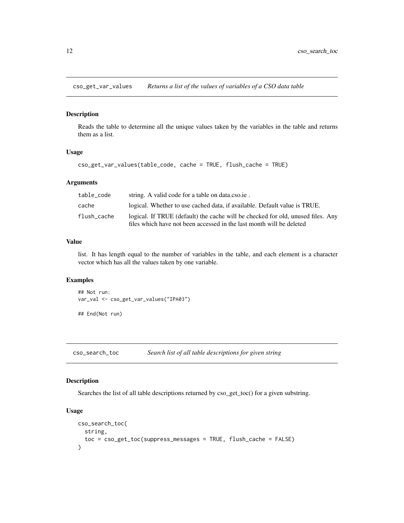<span id="page-11-2"></span><span id="page-11-0"></span>cso\_get\_var\_values *Returns a list of the values of variables of a CSO data table*

#### Description

Reads the table to determine all the unique values taken by the variables in the table and returns them as a list.

# Usage

```
cso_get_var_values(table_code, cache = TRUE, flush_cache = TRUE)
```
#### Arguments

| table code  | string. A valid code for a table on data.cso.ie.                                                                                                        |
|-------------|---------------------------------------------------------------------------------------------------------------------------------------------------------|
| cache       | logical. Whether to use cached data, if available. Default value is TRUE.                                                                               |
| flush cache | logical. If TRUE (default) the cache will be checked for old, unused files. Any<br>files which have not been accessed in the last month will be deleted |

#### Value

list. It has length equal to the number of variables in the table, and each element is a character vector which has all the values taken by one variable.

# Examples

```
## Not run:
var_val <- cso_get_var_values("IPA03")
```
## End(Not run)

<span id="page-11-1"></span>cso\_search\_toc *Search list of all table descriptions for given string*

## Description

Searches the list of all table descriptions returned by  $\cos$  get\_toc() for a given substring.

```
cso_search_toc(
  string,
  toc = cso_get_toc(suppress_messages = TRUE, flush_cache = FALSE)
\mathcal{E}
```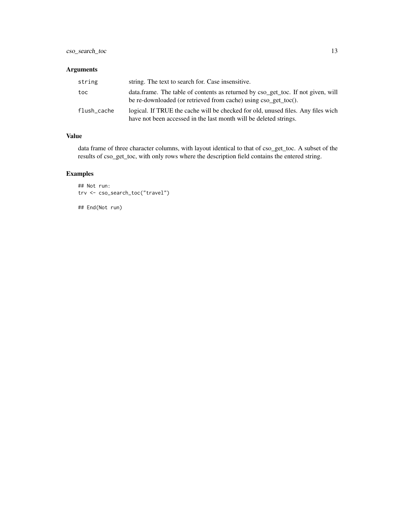# cso\_search\_toc 13

# Arguments

| string      | string. The text to search for. Case insensitive.                                                                                                     |
|-------------|-------------------------------------------------------------------------------------------------------------------------------------------------------|
| toc         | data.frame. The table of contents as returned by cso_get_toc. If not given, will<br>be re-downloaded (or retrieved from cache) using cso_get_toc().   |
| flush_cache | logical. If TRUE the cache will be checked for old, unused files. Any files wich<br>have not been accessed in the last month will be deleted strings. |

# Value

data frame of three character columns, with layout identical to that of cso\_get\_toc. A subset of the results of cso\_get\_toc, with only rows where the description field contains the entered string.

# Examples

```
## Not run:
trv <- cso_search_toc("travel")
```
## End(Not run)